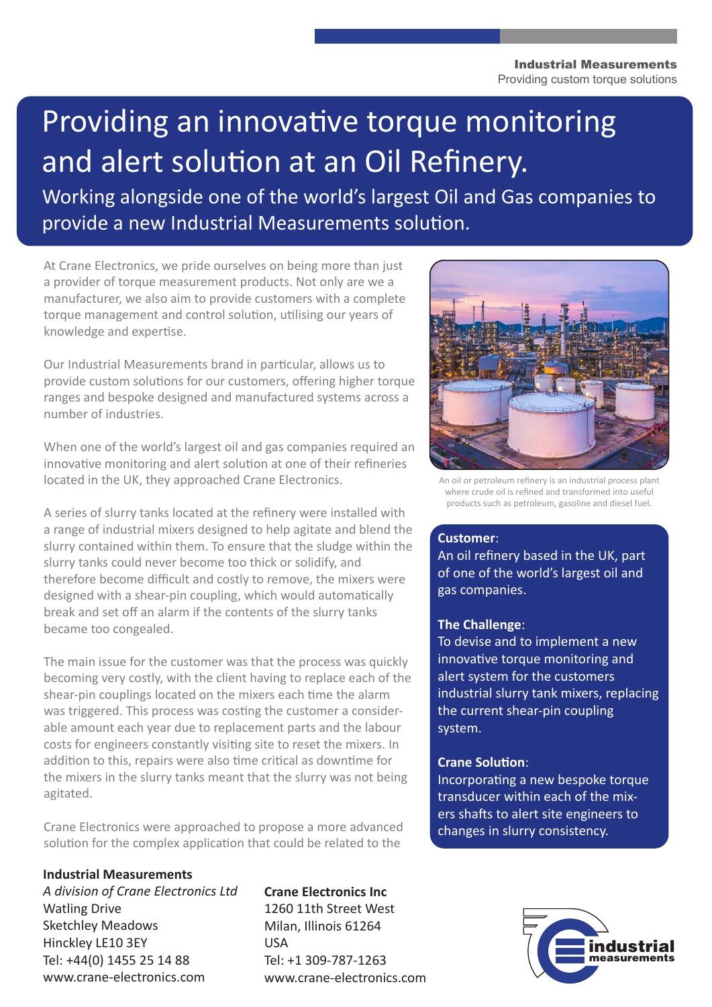#### Industrial Measurements Providing custom torque solutions

# Providing an innovative torque monitoring and alert solution at an Oil Refinery.

Working alongside one of the world's largest Oil and Gas companies to provide a new Industrial Measurements solution.

At Crane Electronics, we pride ourselves on being more than just a provider of torque measurement products. Not only are we a manufacturer, we also aim to provide customers with a complete torque management and control solution, utilising our years of knowledge and expertise.

Our Industrial Measurements brand in particular, allows us to provide custom solutions for our customers, offering higher torque ranges and bespoke designed and manufactured systems across a number of industries.

When one of the world's largest oil and gas companies required an innovative monitoring and alert solution at one of their refineries located in the UK, they approached Crane Electronics.

A series of slurry tanks located at the refinery were installed with a range of industrial mixers designed to help agitate and blend the slurry contained within them. To ensure that the sludge within the slurry tanks could never become too thick or solidify, and therefore become difficult and costly to remove, the mixers were designed with a shear-pin coupling, which would automatically break and set off an alarm if the contents of the slurry tanks became too congealed.

The main issue for the customer was that the process was quickly becoming very costly, with the client having to replace each of the shear-pin couplings located on the mixers each time the alarm was triggered. This process was costing the customer a considerable amount each year due to replacement parts and the labour costs for engineers constantly visiting site to reset the mixers. In addition to this, repairs were also time critical as downtime for the mixers in the slurry tanks meant that the slurry was not being agitated.

Crane Electronics were approached to propose a more advanced solution for the complex application that could be related to the

# **Industrial Measurements**

*A division of Crane Electronics Ltd* Watling Drive Sketchley Meadows Hinckley LE10 3EY Tel: +44(0) 1455 25 14 88 www.crane-electronics.com

**Crane Electronics Inc** 1260 11th Street West Milan, Illinois 61264 USA Tel: +1 309-787-1263 www.crane-electronics.com



An oil or petroleum refinery is an industrial process plant where crude oil is refined and transformed into useful products such as petroleum, gasoline and diesel fuel.

# **Customer**:

An oil refinery based in the UK, part of one of the world's largest oil and gas companies.

### **The Challenge**:

To devise and to implement a new innovative torque monitoring and alert system for the customers industrial slurry tank mixers, replacing the current shear-pin coupling system.

## **Crane Solution**:

Incorporating a new bespoke torque transducer within each of the mixers shafts to alert site engineers to changes in slurry consistency.